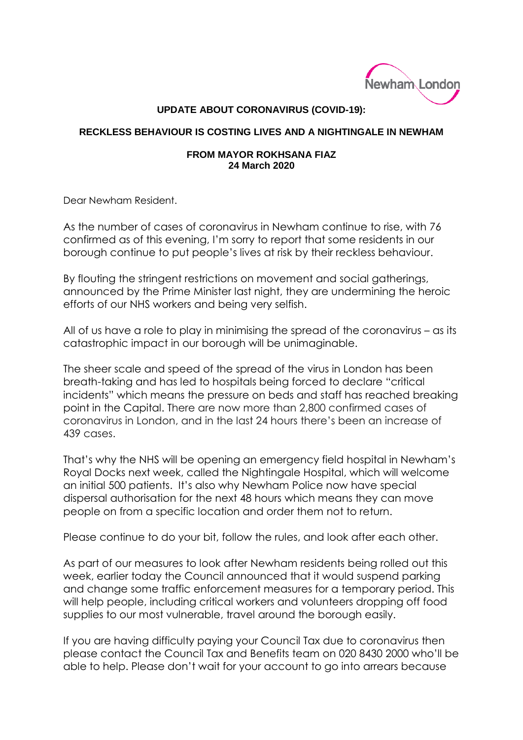

## **UPDATE ABOUT CORONAVIRUS (COVID-19):**

## **RECKLESS BEHAVIOUR IS COSTING LIVES AND A NIGHTINGALE IN NEWHAM**

## **FROM MAYOR ROKHSANA FIAZ 24 March 2020**

Dear Newham Resident.

As the number of cases of coronavirus in Newham continue to rise, with 76 confirmed as of this evening, I'm sorry to report that some residents in our borough continue to put people's lives at risk by their reckless behaviour.

By flouting the stringent restrictions on movement and social gatherings, announced by the Prime Minister last night, they are undermining the heroic efforts of our NHS workers and being very selfish.

All of us have a role to play in minimising the spread of the coronavirus – as its catastrophic impact in our borough will be unimaginable.

The sheer scale and speed of the spread of the virus in London has been breath-taking and has led to hospitals being forced to declare "critical incidents" which means the pressure on beds and staff has reached breaking point in the Capital. There are now more than 2,800 confirmed cases of coronavirus in London, and in the last 24 hours there's been an increase of 439 cases.

That's why the NHS will be opening an emergency field hospital in Newham's Royal Docks next week, called the Nightingale Hospital, which will welcome an initial 500 patients. It's also why Newham Police now have special dispersal authorisation for the next 48 hours which means they can move people on from a specific location and order them not to return.

Please continue to do your bit, follow the rules, and look after each other.

As part of our measures to look after Newham residents being rolled out this week, earlier today the Council announced that it would suspend parking and change some traffic enforcement measures for a temporary period. This will help people, including critical workers and volunteers dropping off food supplies to our most vulnerable, travel around the borough easily.

If you are having difficulty paying your Council Tax due to coronavirus then please contact the Council Tax and Benefits team on 020 8430 2000 who'll be able to help. Please don't wait for your account to go into arrears because